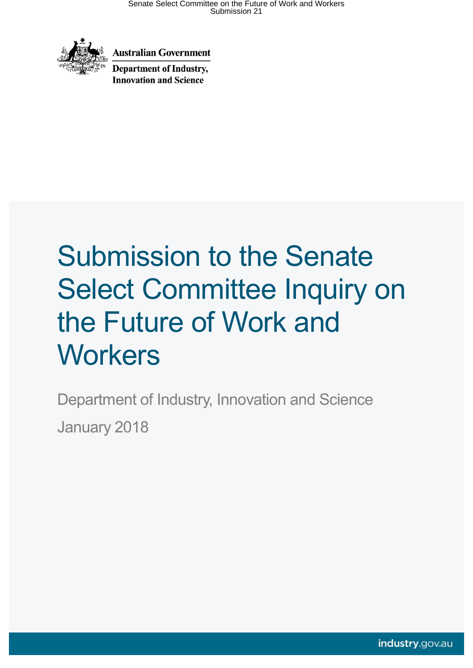

**Australian Government** 

**Department of Industry, Innovation and Science** 

# Submission to the Senate Select Committee Inquiry on the Future of Work and **Workers**

Department of Industry, Innovation and Science January 2018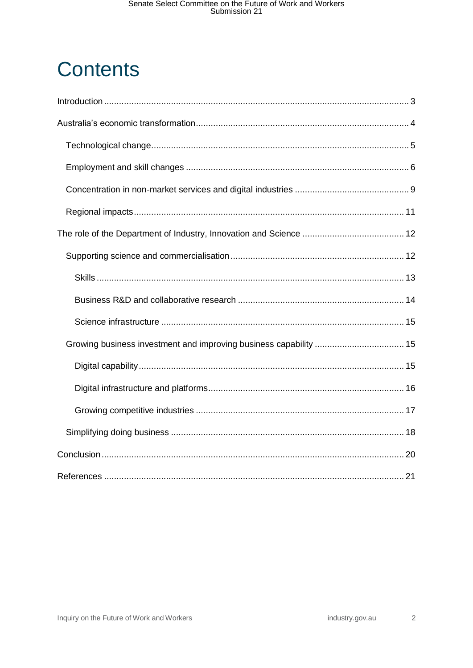# **Contents**

 $\overline{2}$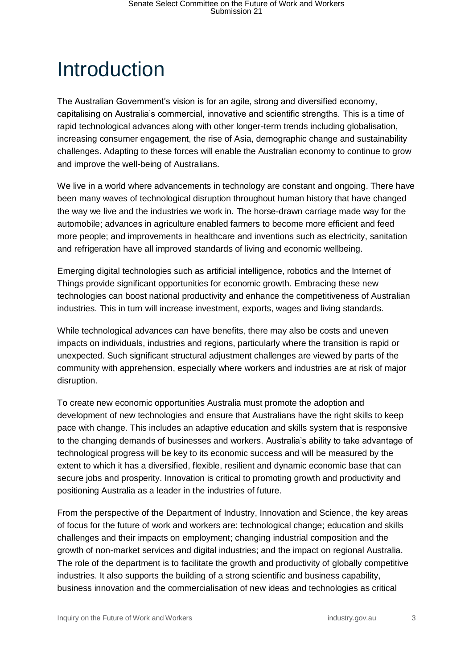## <span id="page-2-0"></span>Introduction

The Australian Government's vision is for an agile, strong and diversified economy, capitalising on Australia's commercial, innovative and scientific strengths. This is a time of rapid technological advances along with other longer-term trends including globalisation, increasing consumer engagement, the rise of Asia, demographic change and sustainability challenges. Adapting to these forces will enable the Australian economy to continue to grow and improve the well-being of Australians.

We live in a world where advancements in technology are constant and ongoing. There have been many waves of technological disruption throughout human history that have changed the way we live and the industries we work in. The horse-drawn carriage made way for the automobile; advances in agriculture enabled farmers to become more efficient and feed more people; and improvements in healthcare and inventions such as electricity, sanitation and refrigeration have all improved standards of living and economic wellbeing.

Emerging digital technologies such as artificial intelligence, robotics and the Internet of Things provide significant opportunities for economic growth. Embracing these new technologies can boost national productivity and enhance the competitiveness of Australian industries. This in turn will increase investment, exports, wages and living standards.

While technological advances can have benefits, there may also be costs and uneven impacts on individuals, industries and regions, particularly where the transition is rapid or unexpected. Such significant structural adjustment challenges are viewed by parts of the community with apprehension, especially where workers and industries are at risk of major disruption.

To create new economic opportunities Australia must promote the adoption and development of new technologies and ensure that Australians have the right skills to keep pace with change. This includes an adaptive education and skills system that is responsive to the changing demands of businesses and workers. Australia's ability to take advantage of technological progress will be key to its economic success and will be measured by the extent to which it has a diversified, flexible, resilient and dynamic economic base that can secure jobs and prosperity. Innovation is critical to promoting growth and productivity and positioning Australia as a leader in the industries of future.

From the perspective of the Department of Industry, Innovation and Science, the key areas of focus for the future of work and workers are: technological change; education and skills challenges and their impacts on employment; changing industrial composition and the growth of non-market services and digital industries; and the impact on regional Australia. The role of the department is to facilitate the growth and productivity of globally competitive industries. It also supports the building of a strong scientific and business capability, business innovation and the commercialisation of new ideas and technologies as critical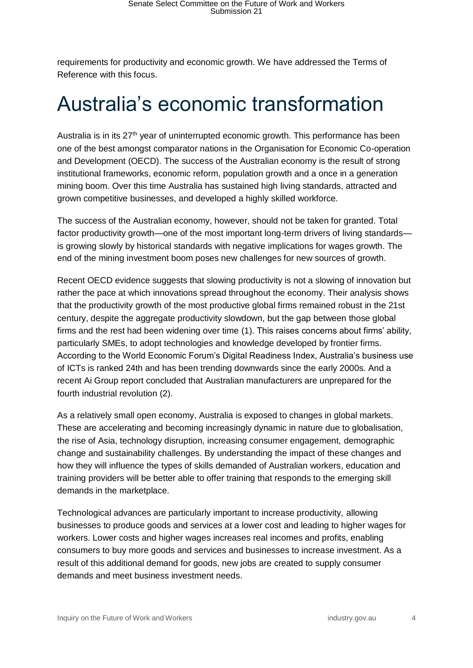requirements for productivity and economic growth. We have addressed the Terms of Reference with this focus.

### <span id="page-3-0"></span>Australia's economic transformation

Australia is in its  $27<sup>th</sup>$  year of uninterrupted economic growth. This performance has been one of the best amongst comparator nations in the Organisation for Economic Co-operation and Development (OECD). The success of the Australian economy is the result of strong institutional frameworks, economic reform, population growth and a once in a generation mining boom. Over this time Australia has sustained high living standards, attracted and grown competitive businesses, and developed a highly skilled workforce.

The success of the Australian economy, however, should not be taken for granted. Total factor productivity growth—one of the most important long-term drivers of living standards is growing slowly by historical standards with negative implications for wages growth. The end of the mining investment boom poses new challenges for new sources of growth.

Recent OECD evidence suggests that slowing productivity is not a slowing of innovation but rather the pace at which innovations spread throughout the economy. Their analysis shows that the productivity growth of the most productive global firms remained robust in the 21st century, despite the aggregate productivity slowdown, but the gap between those global firms and the rest had been widening over time (1). This raises concerns about firms' ability, particularly SMEs, to adopt technologies and knowledge developed by frontier firms. According to the World Economic Forum's Digital Readiness Index, Australia's business use of ICTs is ranked 24th and has been trending downwards since the early 2000s. And a recent Ai Group report concluded that Australian manufacturers are unprepared for the fourth industrial revolution (2).

As a relatively small open economy, Australia is exposed to changes in global markets. These are accelerating and becoming increasingly dynamic in nature due to globalisation, the rise of Asia, technology disruption, increasing consumer engagement, demographic change and sustainability challenges. By understanding the impact of these changes and how they will influence the types of skills demanded of Australian workers, education and training providers will be better able to offer training that responds to the emerging skill demands in the marketplace.

Technological advances are particularly important to increase productivity, allowing businesses to produce goods and services at a lower cost and leading to higher wages for workers. Lower costs and higher wages increases real incomes and profits, enabling consumers to buy more goods and services and businesses to increase investment. As a result of this additional demand for goods, new jobs are created to supply consumer demands and meet business investment needs.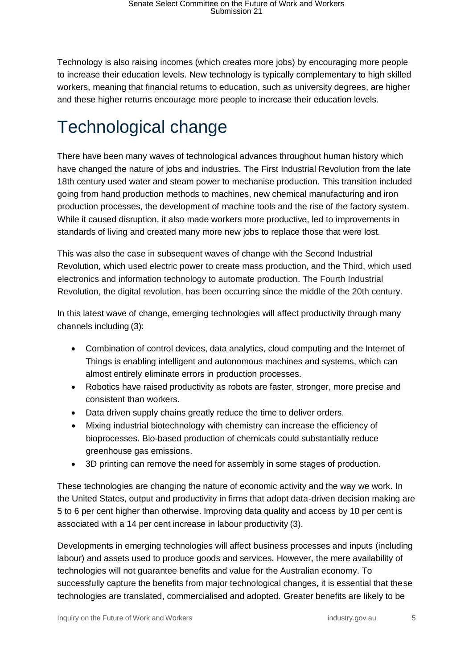Technology is also raising incomes (which creates more jobs) by encouraging more people to increase their education levels. New technology is typically complementary to high skilled workers, meaning that financial returns to education, such as university degrees, are higher and these higher returns encourage more people to increase their education levels.

### <span id="page-4-0"></span>Technological change

There have been many waves of technological advances throughout human history which have changed the nature of jobs and industries. The First Industrial Revolution from the late 18th century used water and steam power to mechanise production. This transition included going from hand production methods to machines, new chemical manufacturing and iron production processes, the development of machine tools and the rise of the factory system. While it caused disruption, it also made workers more productive, led to improvements in standards of living and created many more new jobs to replace those that were lost.

This was also the case in subsequent waves of change with the Second Industrial Revolution, which used electric power to create mass production, and the Third, which used electronics and information technology to automate production. The Fourth Industrial Revolution, the digital revolution, has been occurring since the middle of the 20th century.

In this latest wave of change, emerging technologies will affect productivity through many channels including (3):

- Combination of control devices, data analytics, cloud computing and the Internet of Things is enabling intelligent and autonomous machines and systems, which can almost entirely eliminate errors in production processes.
- Robotics have raised productivity as robots are faster, stronger, more precise and consistent than workers.
- Data driven supply chains greatly reduce the time to deliver orders.
- Mixing industrial biotechnology with chemistry can increase the efficiency of bioprocesses. Bio-based production of chemicals could substantially reduce greenhouse gas emissions.
- 3D printing can remove the need for assembly in some stages of production.

These technologies are changing the nature of economic activity and the way we work. In the United States, output and productivity in firms that adopt data-driven decision making are 5 to 6 per cent higher than otherwise. Improving data quality and access by 10 per cent is associated with a 14 per cent increase in labour productivity (3).

Developments in emerging technologies will affect business processes and inputs (including labour) and assets used to produce goods and services. However, the mere availability of technologies will not guarantee benefits and value for the Australian economy. To successfully capture the benefits from major technological changes, it is essential that these technologies are translated, commercialised and adopted. Greater benefits are likely to be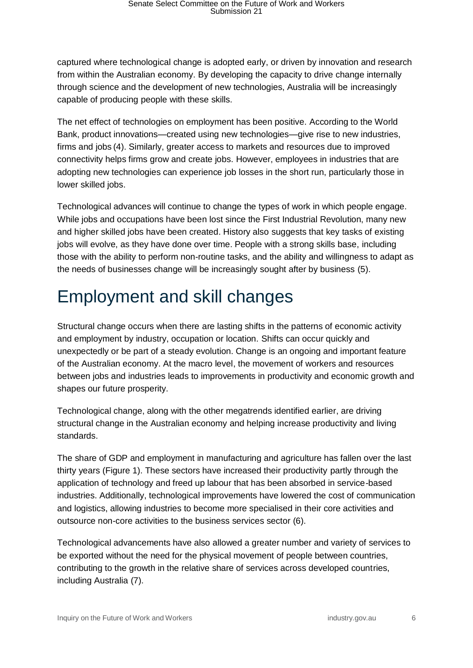captured where technological change is adopted early, or driven by innovation and research from within the Australian economy. By developing the capacity to drive change internally through science and the development of new technologies, Australia will be increasingly capable of producing people with these skills.

The net effect of technologies on employment has been positive. According to the World Bank, product innovations—created using new technologies—give rise to new industries, firms and jobs (4). Similarly, greater access to markets and resources due to improved connectivity helps firms grow and create jobs. However, employees in industries that are adopting new technologies can experience job losses in the short run, particularly those in lower skilled jobs.

Technological advances will continue to change the types of work in which people engage. While jobs and occupations have been lost since the First Industrial Revolution, many new and higher skilled jobs have been created. History also suggests that key tasks of existing jobs will evolve, as they have done over time. People with a strong skills base, including those with the ability to perform non-routine tasks, and the ability and willingness to adapt as the needs of businesses change will be increasingly sought after by business (5).

### <span id="page-5-0"></span>Employment and skill changes

Structural change occurs when there are lasting shifts in the patterns of economic activity and employment by industry, occupation or location. Shifts can occur quickly and unexpectedly or be part of a steady evolution. Change is an ongoing and important feature of the Australian economy. At the macro level, the movement of workers and resources between jobs and industries leads to improvements in productivity and economic growth and shapes our future prosperity.

Technological change, along with the other megatrends identified earlier, are driving structural change in the Australian economy and helping increase productivity and living standards.

The share of GDP and employment in manufacturing and agriculture has fallen over the last thirty years (Figure 1). These sectors have increased their productivity partly through the application of technology and freed up labour that has been absorbed in service-based industries. Additionally, technological improvements have lowered the cost of communication and logistics, allowing industries to become more specialised in their core activities and outsource non-core activities to the business services sector (6).

Technological advancements have also allowed a greater number and variety of services to be exported without the need for the physical movement of people between countries, contributing to the growth in the relative share of services across developed countries, including Australia (7).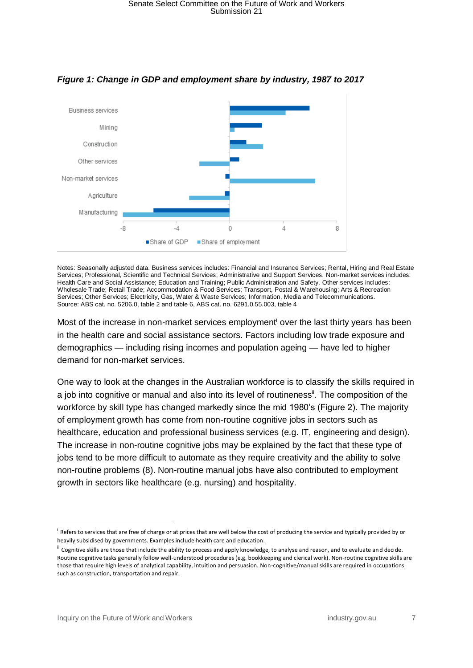

#### *Figure 1: Change in GDP and employment share by industry, 1987 to 2017*

Notes: Seasonally adjusted data. Business services includes: Financial and Insurance Services; Rental, Hiring and Real Estate Services; Professional, Scientific and Technical Services; Administrative and Support Services. Non-market services includes: Health Care and Social Assistance; Education and Training; Public Administration and Safety. Other services includes: Wholesale Trade; Retail Trade; Accommodation & Food Services; Transport, Postal & Warehousing; Arts & Recreation Services; Other Services; Electricity, Gas, Water & Waste Services; Information, Media and Telecommunications. Source: ABS cat. no. 5206.0, table 2 and table 6, ABS cat. no. 6291.0.55.003, table 4

Most of the increase in non-market services employment<sup>i</sup> over the last thirty years has been in the health care and social assistance sectors. Factors including low trade exposure and demographics — including rising incomes and population ageing — have led to higher demand for non-market services.

One way to look at the changes in the Australian workforce is to classify the skills required in a job into cognitive or manual and also into its level of routineness<sup>ii</sup>. The composition of the workforce by skill type has changed markedly since the mid 1980's (Figure 2). The majority of employment growth has come from non-routine cognitive jobs in sectors such as healthcare, education and professional business services (e.g. IT, engineering and design). The increase in non-routine cognitive jobs may be explained by the fact that these type of jobs tend to be more difficult to automate as they require creativity and the ability to solve non-routine problems (8). Non-routine manual jobs have also contributed to employment growth in sectors like healthcare (e.g. nursing) and hospitality.

-

<sup>&</sup>lt;sup>i</sup> Refers to services that are free of charge or at prices that are well below the cost of producing the service and typically provided by or heavily subsidised by governments. Examples include health care and education.

<sup>&</sup>lt;sup>ii</sup> Cognitive skills are those that include the ability to process and apply knowledge, to analyse and reason, and to evaluate and decide. Routine cognitive tasks generally follow well-understood procedures (e.g. bookkeeping and clerical work). Non-routine cognitive skills are those that require high levels of analytical capability, intuition and persuasion. Non-cognitive/manual skills are required in occupations such as construction, transportation and repair.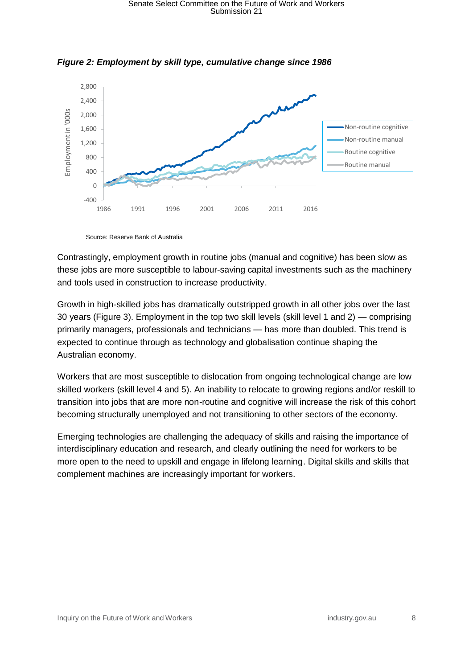Senate Select Committee on the Future of Work and Workers<br>Submission 21



*Figure 2: Employment by skill type, cumulative change since 1986* 

Source: Reserve Bank of Australia

Contrastingly, employment growth in routine jobs (manual and cognitive) has been slow as these jobs are more susceptible to labour-saving capital investments such as the machinery and tools used in construction to increase productivity.

Growth in high-skilled jobs has dramatically outstripped growth in all other jobs over the last 30 years (Figure 3). Employment in the top two skill levels (skill level 1 and 2) — comprising primarily managers, professionals and technicians — has more than doubled. This trend is expected to continue through as technology and globalisation continue shaping the Australian economy.

Workers that are most susceptible to dislocation from ongoing technological change are low skilled workers (skill level 4 and 5). An inability to relocate to growing regions and/or reskill to transition into jobs that are more non-routine and cognitive will increase the risk of this cohort becoming structurally unemployed and not transitioning to other sectors of the economy.

Emerging technologies are challenging the adequacy of skills and raising the importance of interdisciplinary education and research, and clearly outlining the need for workers to be more open to the need to upskill and engage in lifelong learning. Digital skills and skills that complement machines are increasingly important for workers.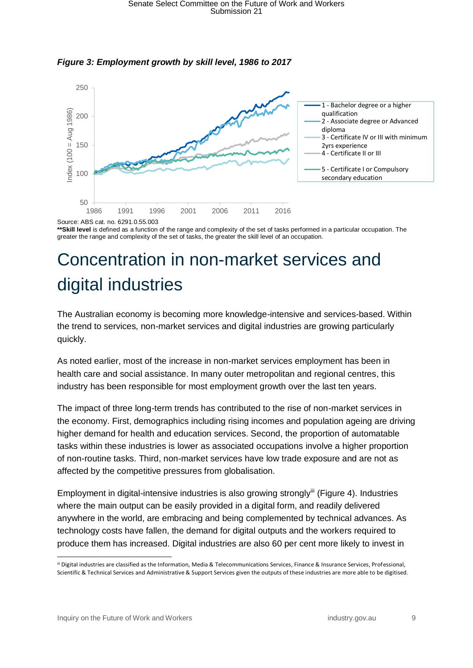



**\*\*Skill level** is defined as a function of the range and complexity of the set of tasks performed in a particular occupation. The greater the range and complexity of the set of tasks, the greater the skill level of an occupation.

### <span id="page-8-0"></span>Concentration in non-market services and digital industries

The Australian economy is becoming more knowledge-intensive and services-based. Within the trend to services, non-market services and digital industries are growing particularly quickly.

As noted earlier, most of the increase in non-market services employment has been in health care and social assistance. In many outer metropolitan and regional centres, this industry has been responsible for most employment growth over the last ten years.

The impact of three long-term trends has contributed to the rise of non-market services in the economy. First, demographics including rising incomes and population ageing are driving higher demand for health and education services. Second, the proportion of automatable tasks within these industries is lower as associated occupations involve a higher proportion of non-routine tasks. Third, non-market services have low trade exposure and are not as affected by the competitive pressures from globalisation.

Employment in digital-intensive industries is also growing strongly<sup>iii</sup> (Figure 4). Industries where the main output can be easily provided in a digital form, and readily delivered anywhere in the world, are embracing and being complemented by technical advances. As technology costs have fallen, the demand for digital outputs and the workers required to produce them has increased. Digital industries are also 60 per cent more likely to invest in

-

iii Digital industries are classified as the Information, Media & Telecommunications Services, Finance & Insurance Services, Professional, Scientific & Technical Services and Administrative & Support Services given the outputs of these industries are more able to be digitised.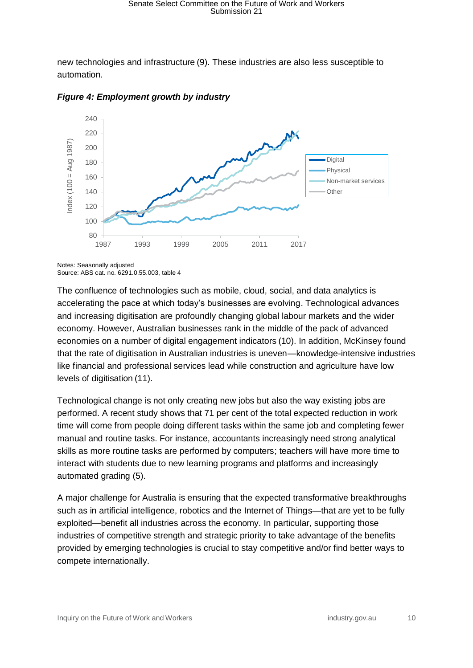new technologies and infrastructure (9). These industries are also less susceptible to automation.



*Figure 4: Employment growth by industry*

Notes: Seasonally adjusted Source: ABS cat. no. 6291.0.55.003, table 4

The confluence of technologies such as mobile, cloud, social, and data analytics is accelerating the pace at which today's businesses are evolving. Technological advances and increasing digitisation are profoundly changing global labour markets and the wider economy. However, Australian businesses rank in the middle of the pack of advanced economies on a number of digital engagement indicators (10). In addition, McKinsey found that the rate of digitisation in Australian industries is uneven—knowledge-intensive industries like financial and professional services lead while construction and agriculture have low levels of digitisation (11).

Technological change is not only creating new jobs but also the way existing jobs are performed. A recent study shows that 71 per cent of the total expected reduction in work time will come from people doing different tasks within the same job and completing fewer manual and routine tasks. For instance, accountants increasingly need strong analytical skills as more routine tasks are performed by computers; teachers will have more time to interact with students due to new learning programs and platforms and increasingly automated grading (5).

A major challenge for Australia is ensuring that the expected transformative breakthroughs such as in artificial intelligence, robotics and the Internet of Things—that are yet to be fully exploited—benefit all industries across the economy. In particular, supporting those industries of competitive strength and strategic priority to take advantage of the benefits provided by emerging technologies is crucial to stay competitive and/or find better ways to compete internationally.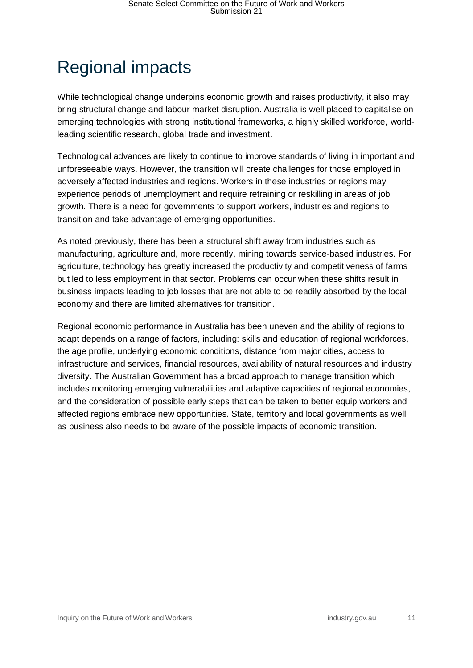### <span id="page-10-0"></span>Regional impacts

While technological change underpins economic growth and raises productivity, it also may bring structural change and labour market disruption. Australia is well placed to capitalise on emerging technologies with strong institutional frameworks, a highly skilled workforce, worldleading scientific research, global trade and investment.

Technological advances are likely to continue to improve standards of living in important and unforeseeable ways. However, the transition will create challenges for those employed in adversely affected industries and regions. Workers in these industries or regions may experience periods of unemployment and require retraining or reskilling in areas of job growth. There is a need for governments to support workers, industries and regions to transition and take advantage of emerging opportunities.

As noted previously, there has been a structural shift away from industries such as manufacturing, agriculture and, more recently, mining towards service-based industries. For agriculture, technology has greatly increased the productivity and competitiveness of farms but led to less employment in that sector. Problems can occur when these shifts result in business impacts leading to job losses that are not able to be readily absorbed by the local economy and there are limited alternatives for transition.

Regional economic performance in Australia has been uneven and the ability of regions to adapt depends on a range of factors, including: skills and education of regional workforces, the age profile, underlying economic conditions, distance from major cities, access to infrastructure and services, financial resources, availability of natural resources and industry diversity. The Australian Government has a broad approach to manage transition which includes monitoring emerging vulnerabilities and adaptive capacities of regional economies, and the consideration of possible early steps that can be taken to better equip workers and affected regions embrace new opportunities. State, territory and local governments as well as business also needs to be aware of the possible impacts of economic transition.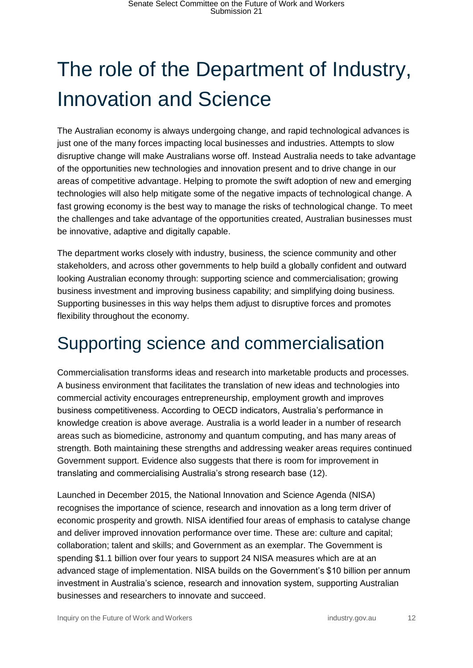# <span id="page-11-0"></span>The role of the Department of Industry, Innovation and Science

The Australian economy is always undergoing change, and rapid technological advances is just one of the many forces impacting local businesses and industries. Attempts to slow disruptive change will make Australians worse off. Instead Australia needs to take advantage of the opportunities new technologies and innovation present and to drive change in our areas of competitive advantage. Helping to promote the swift adoption of new and emerging technologies will also help mitigate some of the negative impacts of technological change. A fast growing economy is the best way to manage the risks of technological change. To meet the challenges and take advantage of the opportunities created, Australian businesses must be innovative, adaptive and digitally capable.

The department works closely with industry, business, the science community and other stakeholders, and across other governments to help build a globally confident and outward looking Australian economy through: supporting science and commercialisation; growing business investment and improving business capability; and simplifying doing business. Supporting businesses in this way helps them adjust to disruptive forces and promotes flexibility throughout the economy.

### <span id="page-11-1"></span>Supporting science and commercialisation

Commercialisation transforms ideas and research into marketable products and processes. A business environment that facilitates the translation of new ideas and technologies into commercial activity encourages entrepreneurship, employment growth and improves business competitiveness. According to OECD indicators, Australia's performance in knowledge creation is above average. Australia is a world leader in a number of research areas such as biomedicine, astronomy and quantum computing, and has many areas of strength. Both maintaining these strengths and addressing weaker areas requires continued Government support. Evidence also suggests that there is room for improvement in translating and commercialising Australia's strong research base (12).

Launched in December 2015, the National Innovation and Science Agenda (NISA) recognises the importance of science, research and innovation as a long term driver of economic prosperity and growth. NISA identified four areas of emphasis to catalyse change and deliver improved innovation performance over time. These are: culture and capital; collaboration; talent and skills; and Government as an exemplar. The Government is spending \$1.1 billion over four years to support 24 NISA measures which are at an advanced stage of implementation. NISA builds on the Government's \$10 billion per annum investment in Australia's science, research and innovation system, supporting Australian businesses and researchers to innovate and succeed.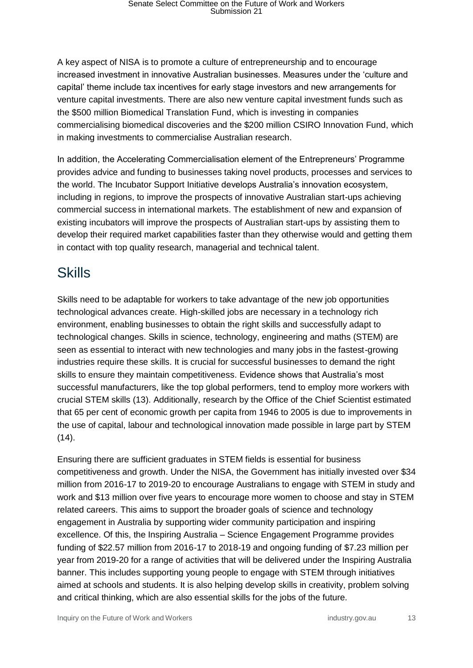A key aspect of NISA is to promote a culture of entrepreneurship and to encourage increased investment in innovative Australian businesses. Measures under the 'culture and capital' theme include tax incentives for early stage investors and new arrangements for venture capital investments. There are also new venture capital investment funds such as the \$500 million Biomedical Translation Fund, which is investing in companies commercialising biomedical discoveries and the \$200 million CSIRO Innovation Fund, which in making investments to commercialise Australian research.

In addition, the Accelerating Commercialisation element of the Entrepreneurs' Programme provides advice and funding to businesses taking novel products, processes and services to the world. The Incubator Support Initiative develops Australia's innovation ecosystem, including in regions, to improve the prospects of innovative Australian start-ups achieving commercial success in international markets. The establishment of new and expansion of existing incubators will improve the prospects of Australian start-ups by assisting them to develop their required market capabilities faster than they otherwise would and getting them in contact with top quality research, managerial and technical talent.

#### <span id="page-12-0"></span>**Skills**

Skills need to be adaptable for workers to take advantage of the new job opportunities technological advances create. High-skilled jobs are necessary in a technology rich environment, enabling businesses to obtain the right skills and successfully adapt to technological changes. Skills in science, technology, engineering and maths (STEM) are seen as essential to interact with new technologies and many jobs in the fastest-growing industries require these skills. It is crucial for successful businesses to demand the right skills to ensure they maintain competitiveness. Evidence shows that Australia's most successful manufacturers, like the top global performers, tend to employ more workers with crucial STEM skills (13). Additionally, research by the Office of the Chief Scientist estimated that 65 per cent of economic growth per capita from 1946 to 2005 is due to improvements in the use of capital, labour and technological innovation made possible in large part by STEM  $(14).$ 

Ensuring there are sufficient graduates in STEM fields is essential for business competitiveness and growth. Under the NISA, the Government has initially invested over \$34 million from 2016-17 to 2019-20 to encourage Australians to engage with STEM in study and work and \$13 million over five years to encourage more women to choose and stay in STEM related careers. This aims to support the broader goals of science and technology engagement in Australia by supporting wider community participation and inspiring excellence. Of this, the Inspiring Australia – Science Engagement Programme provides funding of \$22.57 million from 2016-17 to 2018-19 and ongoing funding of \$7.23 million per year from 2019-20 for a range of activities that will be delivered under the Inspiring Australia banner. This includes supporting young people to engage with STEM through initiatives aimed at schools and students. It is also helping develop skills in creativity, problem solving and critical thinking, which are also essential skills for the jobs of the future.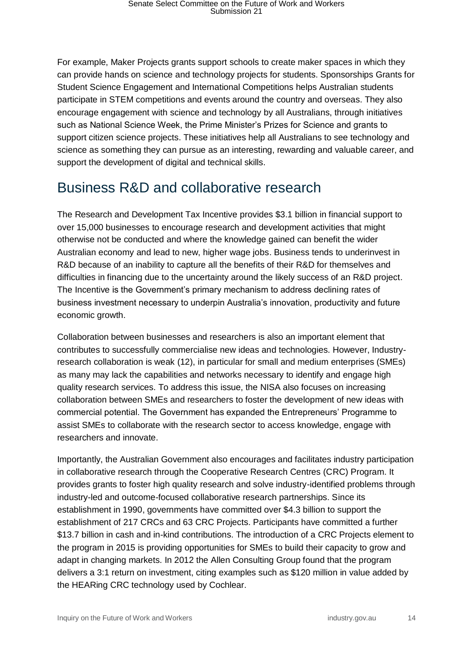For example, Maker Projects grants support schools to create maker spaces in which they can provide hands on science and technology projects for students. Sponsorships Grants for Student Science Engagement and International Competitions helps Australian students participate in STEM competitions and events around the country and overseas. They also encourage engagement with science and technology by all Australians, through initiatives such as National Science Week, the Prime Minister's Prizes for Science and grants to support citizen science projects. These initiatives help all Australians to see technology and science as something they can pursue as an interesting, rewarding and valuable career, and support the development of digital and technical skills.

#### <span id="page-13-0"></span>Business R&D and collaborative research

The Research and Development Tax Incentive provides \$3.1 billion in financial support to over 15,000 businesses to encourage research and development activities that might otherwise not be conducted and where the knowledge gained can benefit the wider Australian economy and lead to new, higher wage jobs. Business tends to underinvest in R&D because of an inability to capture all the benefits of their R&D for themselves and difficulties in financing due to the uncertainty around the likely success of an R&D project. The Incentive is the Government's primary mechanism to address declining rates of business investment necessary to underpin Australia's innovation, productivity and future economic growth.

Collaboration between businesses and researchers is also an important element that contributes to successfully commercialise new ideas and technologies. However, Industryresearch collaboration is weak (12), in particular for small and medium enterprises (SMEs) as many may lack the capabilities and networks necessary to identify and engage high quality research services. To address this issue, the NISA also focuses on increasing collaboration between SMEs and researchers to foster the development of new ideas with commercial potential. The Government has expanded the Entrepreneurs' Programme to assist SMEs to collaborate with the research sector to access knowledge, engage with researchers and innovate.

Importantly, the Australian Government also encourages and facilitates industry participation in collaborative research through the Cooperative Research Centres (CRC) Program. It provides grants to foster high quality research and solve industry-identified problems through industry-led and outcome-focused collaborative research partnerships. Since its establishment in 1990, governments have committed over \$4.3 billion to support the establishment of 217 CRCs and 63 CRC Projects. Participants have committed a further \$13.7 billion in cash and in-kind contributions. The introduction of a CRC Projects element to the program in 2015 is providing opportunities for SMEs to build their capacity to grow and adapt in changing markets. In 2012 the Allen Consulting Group found that the program delivers a 3:1 return on investment, citing examples such as \$120 million in value added by the HEARing CRC technology used by Cochlear.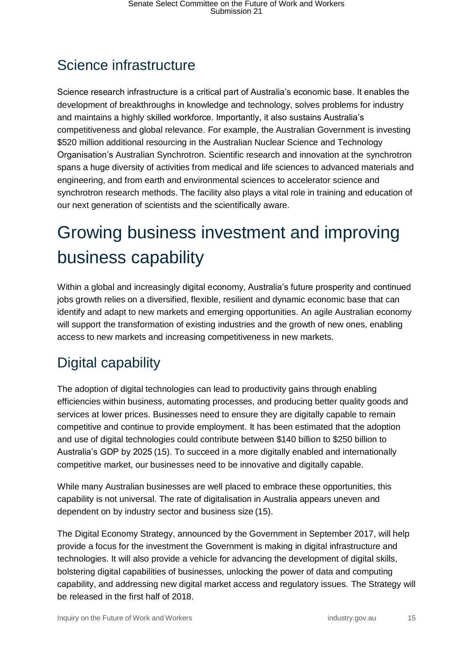#### <span id="page-14-0"></span>Science infrastructure

Science research infrastructure is a critical part of Australia's economic base. It enables the development of breakthroughs in knowledge and technology, solves problems for industry and maintains a highly skilled workforce. Importantly, it also sustains Australia's competitiveness and global relevance. For example, the Australian Government is investing \$520 million additional resourcing in the Australian Nuclear Science and Technology Organisation's Australian Synchrotron. Scientific research and innovation at the synchrotron spans a huge diversity of activities from medical and life sciences to advanced materials and engineering, and from earth and environmental sciences to accelerator science and synchrotron research methods. The facility also plays a vital role in training and education of our next generation of scientists and the scientifically aware.

### <span id="page-14-1"></span>Growing business investment and improving business capability

Within a global and increasingly digital economy, Australia's future prosperity and continued jobs growth relies on a diversified, flexible, resilient and dynamic economic base that can identify and adapt to new markets and emerging opportunities. An agile Australian economy will support the transformation of existing industries and the growth of new ones, enabling access to new markets and increasing competitiveness in new markets.

#### <span id="page-14-2"></span>Digital capability

The adoption of digital technologies can lead to productivity gains through enabling efficiencies within business, automating processes, and producing better quality goods and services at lower prices. Businesses need to ensure they are digitally capable to remain competitive and continue to provide employment. It has been estimated that the adoption and use of digital technologies could contribute between \$140 billion to \$250 billion to Australia's GDP by 2025 (15). To succeed in a more digitally enabled and internationally competitive market, our businesses need to be innovative and digitally capable.

While many Australian businesses are well placed to embrace these opportunities, this capability is not universal. The rate of digitalisation in Australia appears uneven and dependent on by industry sector and business size (15).

The Digital Economy Strategy, announced by the Government in September 2017, will help provide a focus for the investment the Government is making in digital infrastructure and technologies. It will also provide a vehicle for advancing the development of digital skills, bolstering digital capabilities of businesses, unlocking the power of data and computing capability, and addressing new digital market access and regulatory issues. The Strategy will be released in the first half of 2018.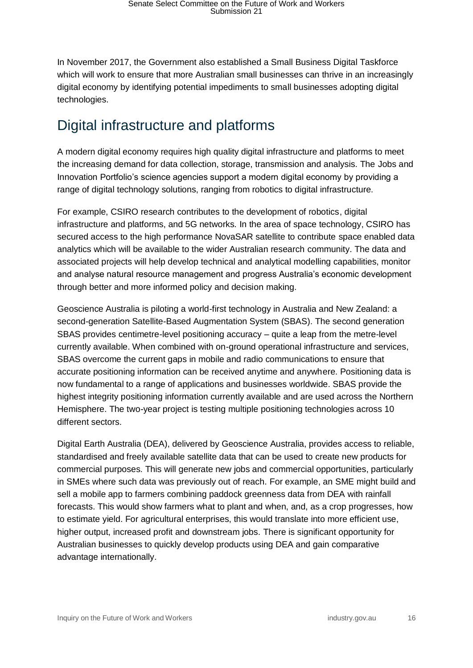In November 2017, the Government also established a Small Business Digital Taskforce which will work to ensure that more Australian small businesses can thrive in an increasingly digital economy by identifying potential impediments to small businesses adopting digital technologies.

#### <span id="page-15-0"></span>Digital infrastructure and platforms

A modern digital economy requires high quality digital infrastructure and platforms to meet the increasing demand for data collection, storage, transmission and analysis. The Jobs and Innovation Portfolio's science agencies support a modern digital economy by providing a range of digital technology solutions, ranging from robotics to digital infrastructure.

For example, CSIRO research contributes to the development of robotics, digital infrastructure and platforms, and 5G networks. In the area of space technology, CSIRO has secured access to the high performance NovaSAR satellite to contribute space enabled data analytics which will be available to the wider Australian research community. The data and associated projects will help develop technical and analytical modelling capabilities, monitor and analyse natural resource management and progress Australia's economic development through better and more informed policy and decision making.

Geoscience Australia is piloting a world-first technology in Australia and New Zealand: a second-generation Satellite-Based Augmentation System (SBAS). The second generation SBAS provides centimetre-level positioning accuracy – quite a leap from the metre-level currently available. When combined with on-ground operational infrastructure and services, SBAS overcome the current gaps in mobile and radio communications to ensure that accurate positioning information can be received anytime and anywhere. Positioning data is now fundamental to a range of applications and businesses worldwide. SBAS provide the highest integrity positioning information currently available and are used across the Northern Hemisphere. The two-year project is testing multiple positioning technologies across 10 different sectors.

Digital Earth Australia (DEA), delivered by Geoscience Australia, provides access to reliable, standardised and freely available satellite data that can be used to create new products for commercial purposes. This will generate new jobs and commercial opportunities, particularly in SMEs where such data was previously out of reach. For example, an SME might build and sell a mobile app to farmers combining paddock greenness data from DEA with rainfall forecasts. This would show farmers what to plant and when, and, as a crop progresses, how to estimate yield. For agricultural enterprises, this would translate into more efficient use, higher output, increased profit and downstream jobs. There is significant opportunity for Australian businesses to quickly develop products using DEA and gain comparative advantage internationally.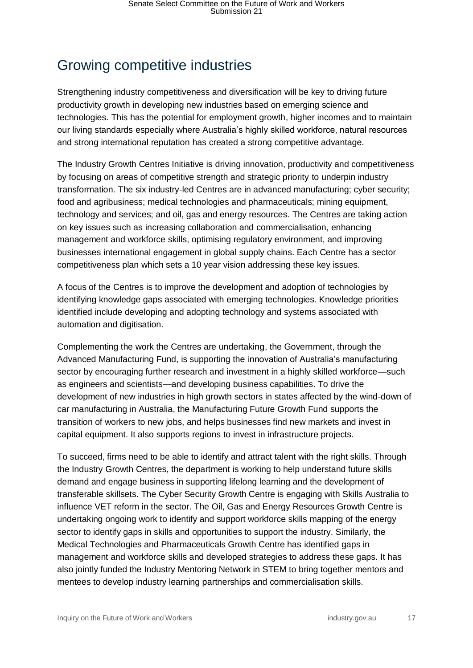#### <span id="page-16-0"></span>Growing competitive industries

Strengthening industry competitiveness and diversification will be key to driving future productivity growth in developing new industries based on emerging science and technologies. This has the potential for employment growth, higher incomes and to maintain our living standards especially where Australia's highly skilled workforce, natural resources and strong international reputation has created a strong competitive advantage.

The Industry Growth Centres Initiative is driving innovation, productivity and competitiveness by focusing on areas of competitive strength and strategic priority to underpin industry transformation. The six industry-led Centres are in advanced manufacturing; cyber security; food and agribusiness; medical technologies and pharmaceuticals; mining equipment, technology and services; and oil, gas and energy resources. The Centres are taking action on key issues such as increasing collaboration and commercialisation, enhancing management and workforce skills, optimising regulatory environment, and improving businesses international engagement in global supply chains. Each Centre has a sector competitiveness plan which sets a 10 year vision addressing these key issues.

A focus of the Centres is to improve the development and adoption of technologies by identifying knowledge gaps associated with emerging technologies. Knowledge priorities identified include developing and adopting technology and systems associated with automation and digitisation.

Complementing the work the Centres are undertaking, the Government, through the Advanced Manufacturing Fund, is supporting the innovation of Australia's manufacturing sector by encouraging further research and investment in a highly skilled workforce—such as engineers and scientists—and developing business capabilities. To drive the development of new industries in high growth sectors in states affected by the wind-down of car manufacturing in Australia, the Manufacturing Future Growth Fund supports the transition of workers to new jobs, and helps businesses find new markets and invest in capital equipment. It also supports regions to invest in infrastructure projects.

To succeed, firms need to be able to identify and attract talent with the right skills. Through the Industry Growth Centres, the department is working to help understand future skills demand and engage business in supporting lifelong learning and the development of transferable skillsets. The Cyber Security Growth Centre is engaging with Skills Australia to influence VET reform in the sector. The Oil, Gas and Energy Resources Growth Centre is undertaking ongoing work to identify and support workforce skills mapping of the energy sector to identify gaps in skills and opportunities to support the industry. Similarly, the Medical Technologies and Pharmaceuticals Growth Centre has identified gaps in management and workforce skills and developed strategies to address these gaps. It has also jointly funded the Industry Mentoring Network in STEM to bring together mentors and mentees to develop industry learning partnerships and commercialisation skills.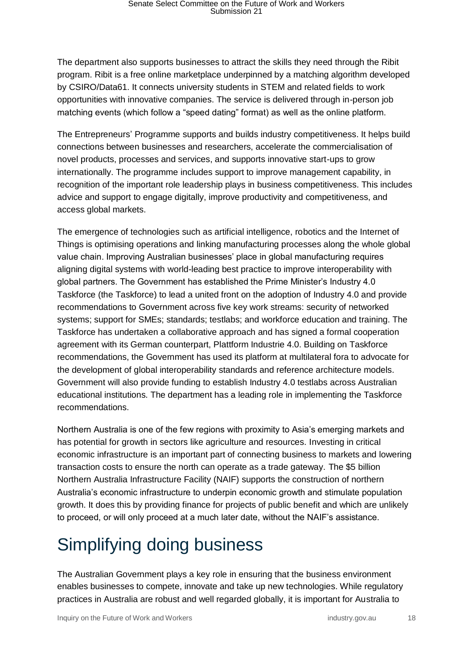The department also supports businesses to attract the skills they need through the Ribit program. Ribit is a free online marketplace underpinned by a matching algorithm developed by CSIRO/Data61. It connects university students in STEM and related fields to work opportunities with innovative companies. The service is delivered through in-person job matching events (which follow a "speed dating" format) as well as the online platform.

The Entrepreneurs' Programme supports and builds industry competitiveness. It helps build connections between businesses and researchers, accelerate the commercialisation of novel products, processes and services, and supports innovative start-ups to grow internationally. The programme includes support to improve management capability, in recognition of the important role leadership plays in business competitiveness. This includes advice and support to engage digitally, improve productivity and competitiveness, and access global markets.

The emergence of technologies such as artificial intelligence, robotics and the Internet of Things is optimising operations and linking manufacturing processes along the whole global value chain. Improving Australian businesses' place in global manufacturing requires aligning digital systems with world-leading best practice to improve interoperability with global partners. The Government has established the Prime Minister's Industry 4.0 Taskforce (the Taskforce) to lead a united front on the adoption of Industry 4.0 and provide recommendations to Government across five key work streams: security of networked systems; support for SMEs; standards; testlabs; and workforce education and training. The Taskforce has undertaken a collaborative approach and has signed a formal cooperation agreement with its German counterpart, Plattform Industrie 4.0. Building on Taskforce recommendations, the Government has used its platform at multilateral fora to advocate for the development of global interoperability standards and reference architecture models. Government will also provide funding to establish Industry 4.0 testlabs across Australian educational institutions. The department has a leading role in implementing the Taskforce recommendations.

Northern Australia is one of the few regions with proximity to Asia's emerging markets and has potential for growth in sectors like agriculture and resources. Investing in critical economic infrastructure is an important part of connecting business to markets and lowering transaction costs to ensure the north can operate as a trade gateway. The \$5 billion Northern Australia Infrastructure Facility (NAIF) supports the construction of northern Australia's economic infrastructure to underpin economic growth and stimulate population growth. It does this by providing finance for projects of public benefit and which are unlikely to proceed, or will only proceed at a much later date, without the NAIF's assistance.

### <span id="page-17-0"></span>Simplifying doing business

The Australian Government plays a key role in ensuring that the business environment enables businesses to compete, innovate and take up new technologies. While regulatory practices in Australia are robust and well regarded globally, it is important for Australia to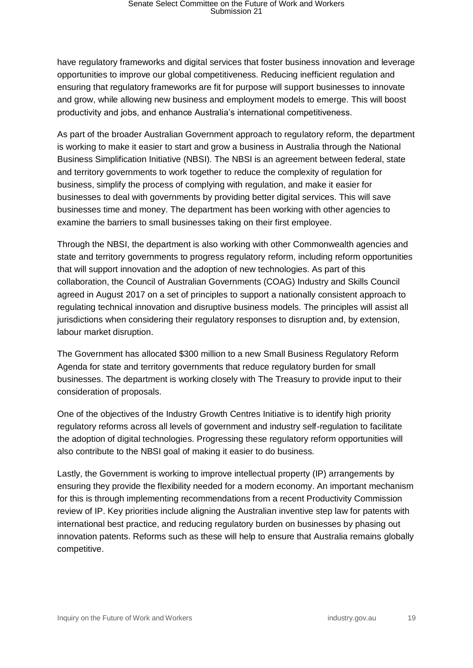have regulatory frameworks and digital services that foster business innovation and leverage opportunities to improve our global competitiveness. Reducing inefficient regulation and ensuring that regulatory frameworks are fit for purpose will support businesses to innovate and grow, while allowing new business and employment models to emerge. This will boost productivity and jobs, and enhance Australia's international competitiveness.

As part of the broader Australian Government approach to regulatory reform, the department is working to make it easier to start and grow a business in Australia through the National Business Simplification Initiative (NBSI). The NBSI is an agreement between federal, state and territory governments to work together to reduce the complexity of regulation for business, simplify the process of complying with regulation, and make it easier for businesses to deal with governments by providing better digital services. This will save businesses time and money. The department has been working with other agencies to examine the barriers to small businesses taking on their first employee.

Through the NBSI, the department is also working with other Commonwealth agencies and state and territory governments to progress regulatory reform, including reform opportunities that will support innovation and the adoption of new technologies. As part of this collaboration, the Council of Australian Governments (COAG) Industry and Skills Council agreed in August 2017 on a set of principles to support a nationally consistent approach to regulating technical innovation and disruptive business models. The principles will assist all jurisdictions when considering their regulatory responses to disruption and, by extension, labour market disruption.

The Government has allocated \$300 million to a new Small Business Regulatory Reform Agenda for state and territory governments that reduce regulatory burden for small businesses. The department is working closely with The Treasury to provide input to their consideration of proposals.

One of the objectives of the Industry Growth Centres Initiative is to identify high priority regulatory reforms across all levels of government and industry self-regulation to facilitate the adoption of digital technologies. Progressing these regulatory reform opportunities will also contribute to the NBSI goal of making it easier to do business.

Lastly, the Government is working to improve intellectual property (IP) arrangements by ensuring they provide the flexibility needed for a modern economy. An important mechanism for this is through implementing recommendations from a recent Productivity Commission review of IP. Key priorities include aligning the Australian inventive step law for patents with international best practice, and reducing regulatory burden on businesses by phasing out innovation patents. Reforms such as these will help to ensure that Australia remains globally competitive.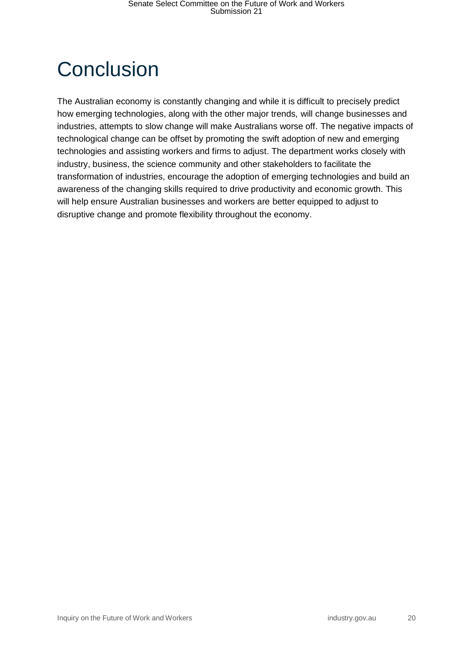# <span id="page-19-0"></span>**Conclusion**

The Australian economy is constantly changing and while it is difficult to precisely predict how emerging technologies, along with the other major trends, will change businesses and industries, attempts to slow change will make Australians worse off. The negative impacts of technological change can be offset by promoting the swift adoption of new and emerging technologies and assisting workers and firms to adjust. The department works closely with industry, business, the science community and other stakeholders to facilitate the transformation of industries, encourage the adoption of emerging technologies and build an awareness of the changing skills required to drive productivity and economic growth. This will help ensure Australian businesses and workers are better equipped to adjust to disruptive change and promote flexibility throughout the economy.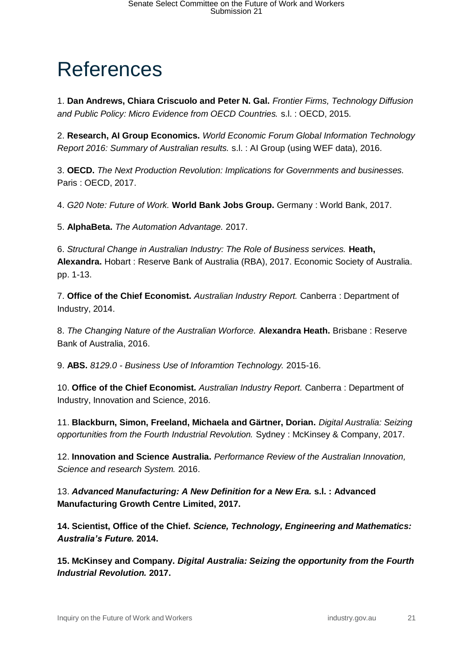# <span id="page-20-0"></span>References

1. **Dan Andrews, Chiara Criscuolo and Peter N. Gal.** *Frontier Firms, Technology Diffusion and Public Policy: Micro Evidence from OECD Countries.* s.l. : OECD, 2015.

2. **Research, AI Group Economics.** *World Economic Forum Global Information Technology Report 2016: Summary of Australian results.* s.l. : AI Group (using WEF data), 2016.

3. **OECD.** *The Next Production Revolution: Implications for Governments and businesses.*  Paris : OECD, 2017.

4. *G20 Note: Future of Work.* **World Bank Jobs Group.** Germany : World Bank, 2017.

5. **AlphaBeta.** *The Automation Advantage.* 2017.

6. *Structural Change in Australian Industry: The Role of Business services.* **Heath, Alexandra.** Hobart : Reserve Bank of Australia (RBA), 2017. Economic Society of Australia. pp. 1-13.

7. **Office of the Chief Economist.** *Australian Industry Report.* Canberra : Department of Industry, 2014.

8. *The Changing Nature of the Australian Worforce.* **Alexandra Heath.** Brisbane : Reserve Bank of Australia, 2016.

9. **ABS.** *8129.0 - Business Use of Inforamtion Technology.* 2015-16.

10. **Office of the Chief Economist.** *Australian Industry Report.* Canberra : Department of Industry, Innovation and Science, 2016.

11. **Blackburn, Simon, Freeland, Michaela and Gärtner, Dorian.** *Digital Australia: Seizing opportunities from the Fourth Industrial Revolution.* Sydney : McKinsey & Company, 2017.

12. **Innovation and Science Australia.** *Performance Review of the Australian Innovation, Science and research System.* 2016.

13. *Advanced Manufacturing: A New Definition for a New Era.* **s.l. : Advanced Manufacturing Growth Centre Limited, 2017.**

**14. Scientist, Office of the Chief.** *Science, Technology, Engineering and Mathematics: Australia's Future.* **2014.**

**15. McKinsey and Company.** *Digital Australia: Seizing the opportunity from the Fourth Industrial Revolution.* **2017.**